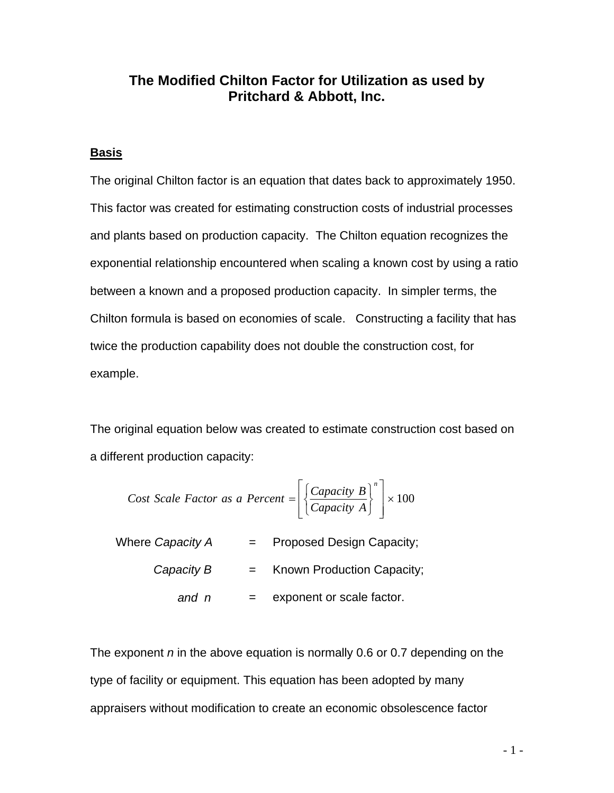# **The Modified Chilton Factor for Utilization as used by Pritchard & Abbott, Inc.**

### **Basis**

The original Chilton factor is an equation that dates back to approximately 1950. This factor was created for estimating construction costs of industrial processes and plants based on production capacity. The Chilton equation recognizes the exponential relationship encountered when scaling a known cost by using a ratio between a known and a proposed production capacity. In simpler terms, the Chilton formula is based on economies of scale. Constructing a facility that has twice the production capability does not double the construction cost, for example.

The original equation below was created to estimate construction cost based on a different production capacity:

*Cost Scale Factor as a Percent* =

\n
$$
\left[ \left\{ \frac{Capacity \ B}{Capacity \ A} \right\}^n \right] \times 100
$$
\nWhere Capacity A = Proposed Design Capacity;

\n*Capacity B* = Known Production Capacity;

*and n* = exponent or scale factor.

The exponent *n* in the above equation is normally 0.6 or 0.7 depending on the type of facility or equipment. This equation has been adopted by many appraisers without modification to create an economic obsolescence factor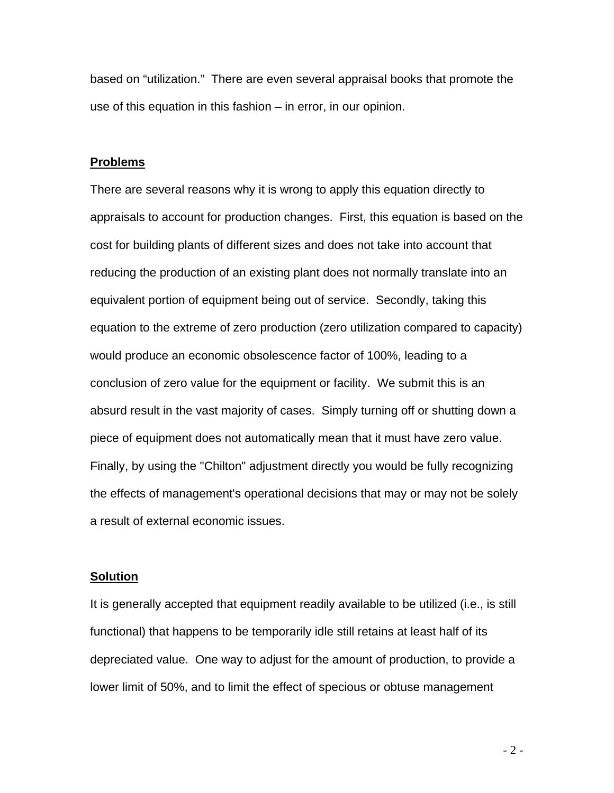based on "utilization." There are even several appraisal books that promote the use of this equation in this fashion – in error, in our opinion.

#### **Problems**

There are several reasons why it is wrong to apply this equation directly to appraisals to account for production changes. First, this equation is based on the cost for building plants of different sizes and does not take into account that reducing the production of an existing plant does not normally translate into an equivalent portion of equipment being out of service. Secondly, taking this equation to the extreme of zero production (zero utilization compared to capacity) would produce an economic obsolescence factor of 100%, leading to a conclusion of zero value for the equipment or facility. We submit this is an absurd result in the vast majority of cases. Simply turning off or shutting down a piece of equipment does not automatically mean that it must have zero value. Finally, by using the "Chilton" adjustment directly you would be fully recognizing the effects of management's operational decisions that may or may not be solely a result of external economic issues.

#### **Solution**

It is generally accepted that equipment readily available to be utilized (i.e., is still functional) that happens to be temporarily idle still retains at least half of its depreciated value. One way to adjust for the amount of production, to provide a lower limit of 50%, and to limit the effect of specious or obtuse management

- 2 -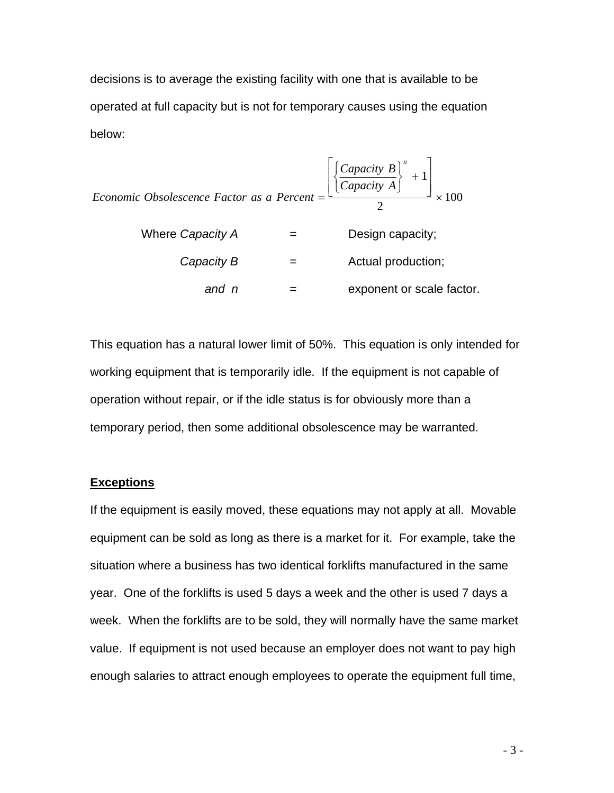decisions is to average the existing facility with one that is available to be operated at full capacity but is not for temporary causes using the equation below:

Economic Obsolescence Factor as a Percent =

\n
$$
\frac{\left[\left\{\frac{Capacity}{Capacity A}\right\}^{n} + 1\right]}{2} \times 100
$$
\nWhere Capacity A = Design capacity;

\nCapacity B =

\n
$$
and n =
$$
\n
$$
P =
$$
\n
$$
=
$$
\n
$$
Design capacity;
$$
\nActual production;

\n
$$
=
$$
\n
$$
exponent or scale factor.
$$

This equation has a natural lower limit of 50%. This equation is only intended for working equipment that is temporarily idle. If the equipment is not capable of operation without repair, or if the idle status is for obviously more than a temporary period, then some additional obsolescence may be warranted.

#### **Exceptions**

If the equipment is easily moved, these equations may not apply at all. Movable equipment can be sold as long as there is a market for it. For example, take the situation where a business has two identical forklifts manufactured in the same year. One of the forklifts is used 5 days a week and the other is used 7 days a week. When the forklifts are to be sold, they will normally have the same market value. If equipment is not used because an employer does not want to pay high enough salaries to attract enough employees to operate the equipment full time,